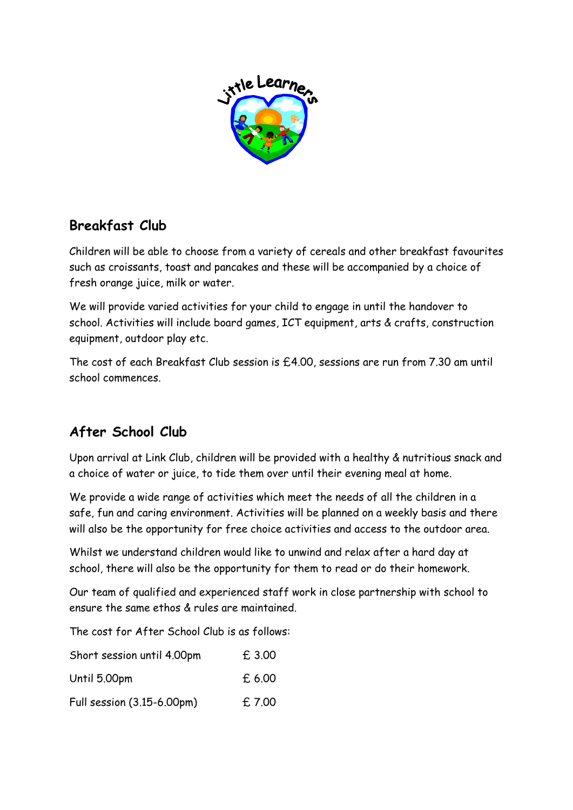

# **Breakfast Club**

Children will be able to choose from a variety of cereals and other breakfast favourites such as croissants, toast and pancakes and these will be accompanied by a choice of fresh orange juice, milk or water.

We will provide varied activities for your child to engage in until the handover to school. Activities will include board games, ICT equipment, arts & crafts, construction equipment, outdoor play etc.

The cost of each Breakfast Club session is £4.00, sessions are run from 7.30 am until school commences.

# **After School Club**

Upon arrival at Link Club, children will be provided with a healthy & nutritious snack and a choice of water or juice, to tide them over until their evening meal at home.

We provide a wide range of activities which meet the needs of all the children in a safe, fun and caring environment. Activities will be planned on a weekly basis and there will also be the opportunity for free choice activities and access to the outdoor area.

Whilst we understand children would like to unwind and relax after a hard day at school, there will also be the opportunity for them to read or do their homework.

Our team of qualified and experienced staff work in close partnership with school to ensure the same ethos & rules are maintained.

The cost for After School Club is as follows:

| Short session until 4.00pm | £3.00  |
|----------------------------|--------|
| Until 5.00pm               | £ 6.00 |
| Full session (3.15-6.00pm) | £7.00  |